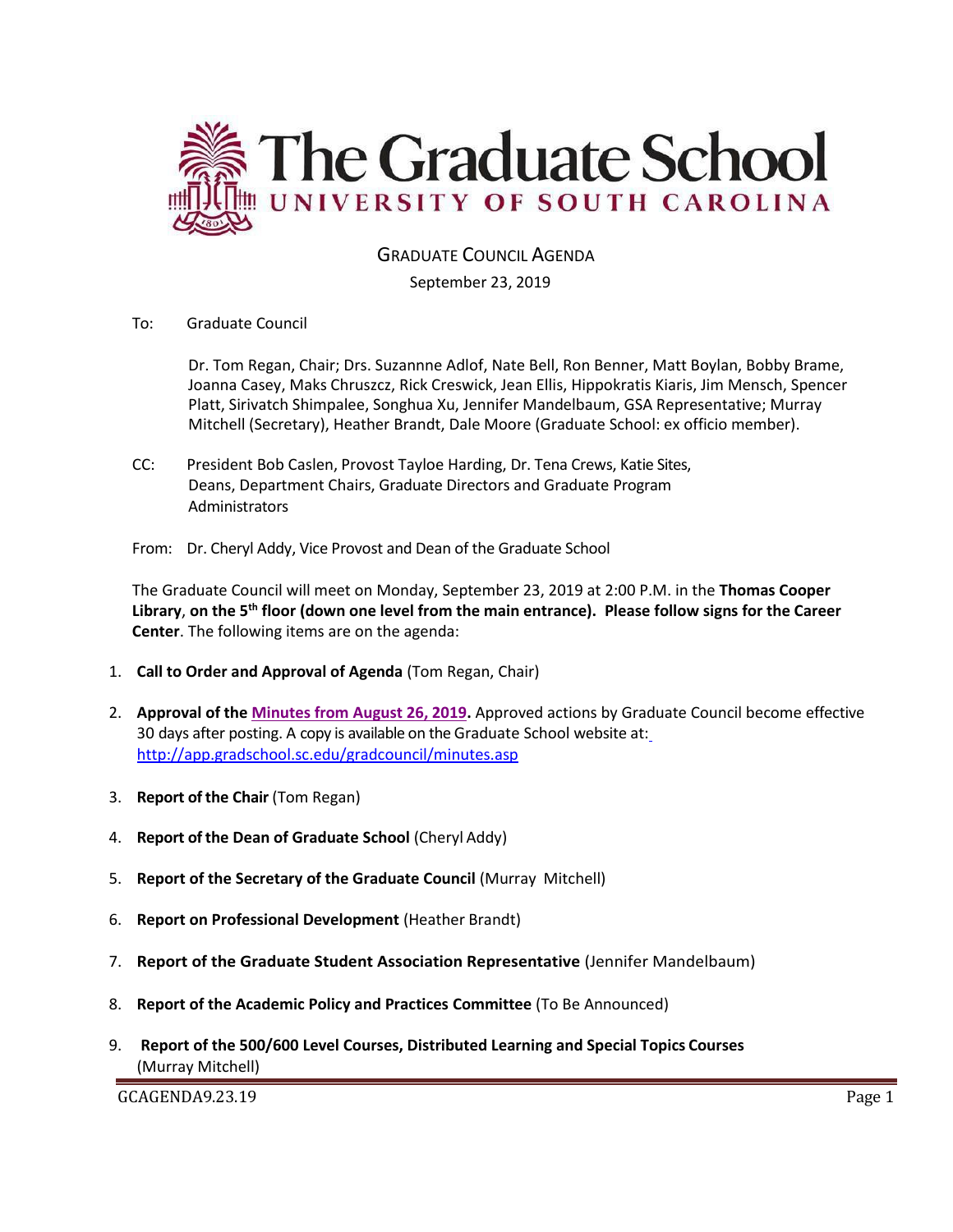

GRADUATE COUNCIL AGENDA

### September 23, 2019

To: Graduate Council

Dr. Tom Regan, Chair; Drs. Suzannne Adlof, Nate Bell, Ron Benner, Matt Boylan, Bobby Brame, Joanna Casey, Maks Chruszcz, Rick Creswick, Jean Ellis, Hippokratis Kiaris, Jim Mensch, Spencer Platt, Sirivatch Shimpalee, Songhua Xu, Jennifer Mandelbaum, GSA Representative; Murray Mitchell (Secretary), Heather Brandt, Dale Moore (Graduate School: ex officio member).

- CC: President Bob Caslen, Provost Tayloe Harding, Dr. Tena Crews, Katie Sites, Deans, Department Chairs, Graduate Directors and Graduate Program **Administrators**
- From: Dr. Cheryl Addy, Vice Provost and Dean of the Graduate School

The Graduate Council will meet on Monday, September 23, 2019 at 2:00 P.M. in the **Thomas Cooper Library**, **on the 5th floor (down one level from the main entrance). Please follow signs for the Career Center**. The following items are on the agenda:

- 1. **Call to Order and Approval of Agenda** (Tom Regan, Chair)
- 2. **Approval of the [Minutes from August 26, 2019.](GCMINAUG262019%20MM%20(003).pdf)** Approved actions by Graduate Council become effective 30 days after posting. A copy is available on the Graduate School website at[:](http://app.gradschool.sc.edu/gradcouncil/minutes.asp) <http://app.gradschool.sc.edu/gradcouncil/minutes.asp>
- 3. **Report of the Chair** (Tom Regan)
- 4. **Report of the Dean of Graduate School** (Cheryl Addy)
- 5. **Report of the Secretary of the Graduate Council** (Murray Mitchell)
- 6. **Report on Professional Development** (Heather Brandt)
- 7. **Report of the Graduate Student Association Representative** (Jennifer Mandelbaum)
- 8. **Report of the Academic Policy and Practices Committee** (To Be Announced)
- 9. **Report of the 500/600 Level Courses, Distributed Learning and Special Topics Courses** (Murray Mitchell)

GCAGENDA9.23.19 Page 1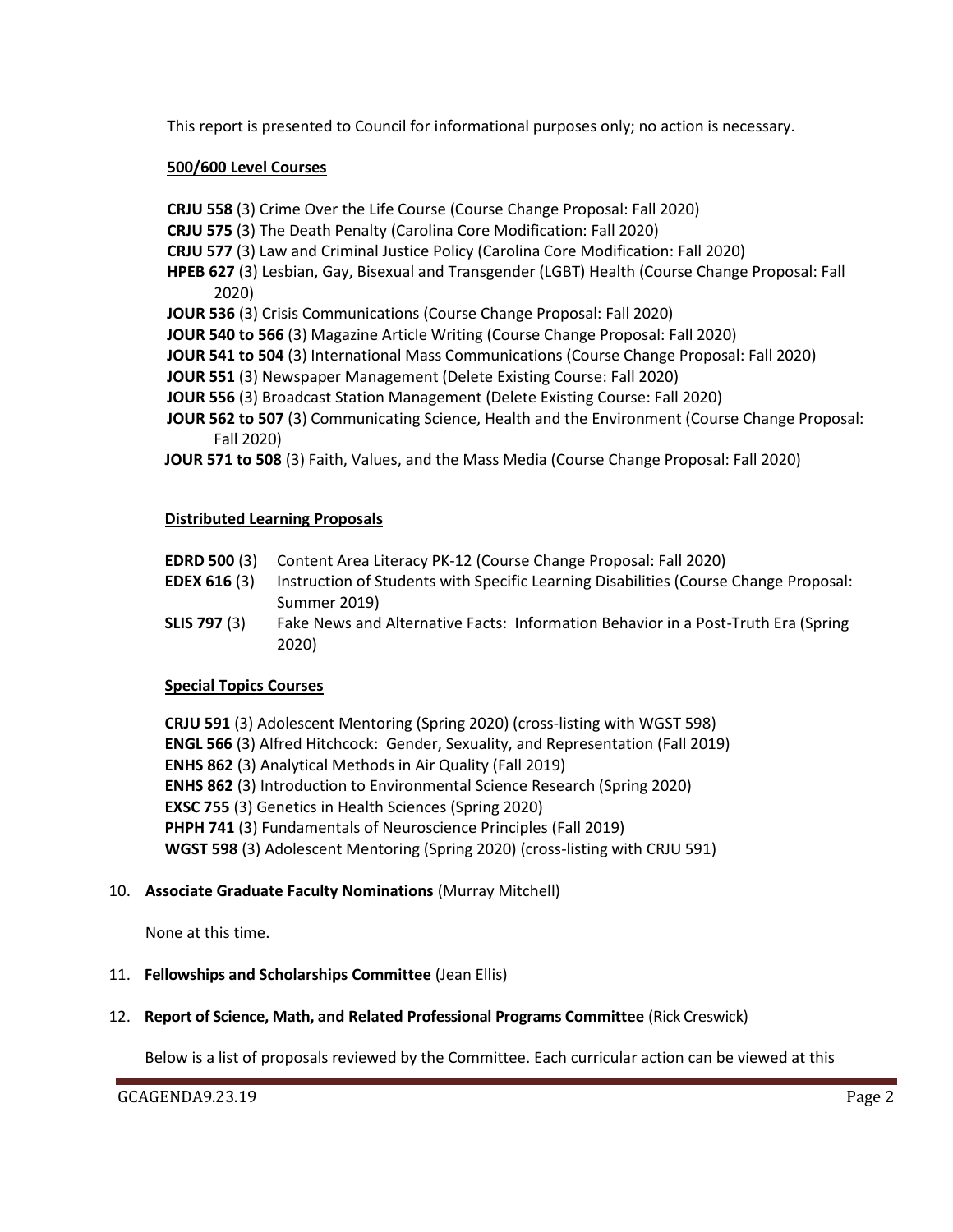This report is presented to Council for informational purposes only; no action is necessary.

### **500/600 Level Courses**

**CRJU 558** (3) Crime Over the Life Course (Course Change Proposal: Fall 2020)

- **CRJU 575** (3) The Death Penalty (Carolina Core Modification: Fall 2020)
- **CRJU 577** (3) Law and Criminal Justice Policy (Carolina Core Modification: Fall 2020)
- **HPEB 627** (3) Lesbian, Gay, Bisexual and Transgender (LGBT) Health (Course Change Proposal: Fall 2020)
- **JOUR 536** (3) Crisis Communications (Course Change Proposal: Fall 2020)
- **JOUR 540 to 566** (3) Magazine Article Writing (Course Change Proposal: Fall 2020)

**JOUR 541 to 504** (3) International Mass Communications (Course Change Proposal: Fall 2020)

- **JOUR 551** (3) Newspaper Management (Delete Existing Course: Fall 2020)
- **JOUR 556** (3) Broadcast Station Management (Delete Existing Course: Fall 2020)
- **JOUR 562 to 507** (3) Communicating Science, Health and the Environment (Course Change Proposal: Fall 2020)
- **JOUR 571 to 508** (3) Faith, Values, and the Mass Media (Course Change Proposal: Fall 2020)

### **Distributed Learning Proposals**

- **EDRD 500** (3) Content Area Literacy PK-12 (Course Change Proposal: Fall 2020)
- **EDEX 616** (3) Instruction of Students with Specific Learning Disabilities (Course Change Proposal: Summer 2019)
- **SLIS 797** (3) Fake News and Alternative Facts: Information Behavior in a Post-Truth Era (Spring 2020)

#### **Special Topics Courses**

**CRJU 591** (3) Adolescent Mentoring (Spring 2020) (cross-listing with WGST 598) **ENGL 566** (3) Alfred Hitchcock: Gender, Sexuality, and Representation (Fall 2019) **ENHS 862** (3) Analytical Methods in Air Quality (Fall 2019) **ENHS 862** (3) Introduction to Environmental Science Research (Spring 2020) **EXSC 755** (3) Genetics in Health Sciences (Spring 2020) **PHPH 741** (3) Fundamentals of Neuroscience Principles (Fall 2019) **WGST 598** (3) Adolescent Mentoring (Spring 2020) (cross-listing with CRJU 591)

## 10. **Associate Graduate Faculty Nominations** (Murray Mitchell)

None at this time.

## 11. **Fellowships and Scholarships Committee** (Jean Ellis)

12. **Report of Science, Math, and Related Professional Programs Committee** (Rick Creswick)

Below is a list of proposals reviewed by the Committee. Each curricular action can be viewed at this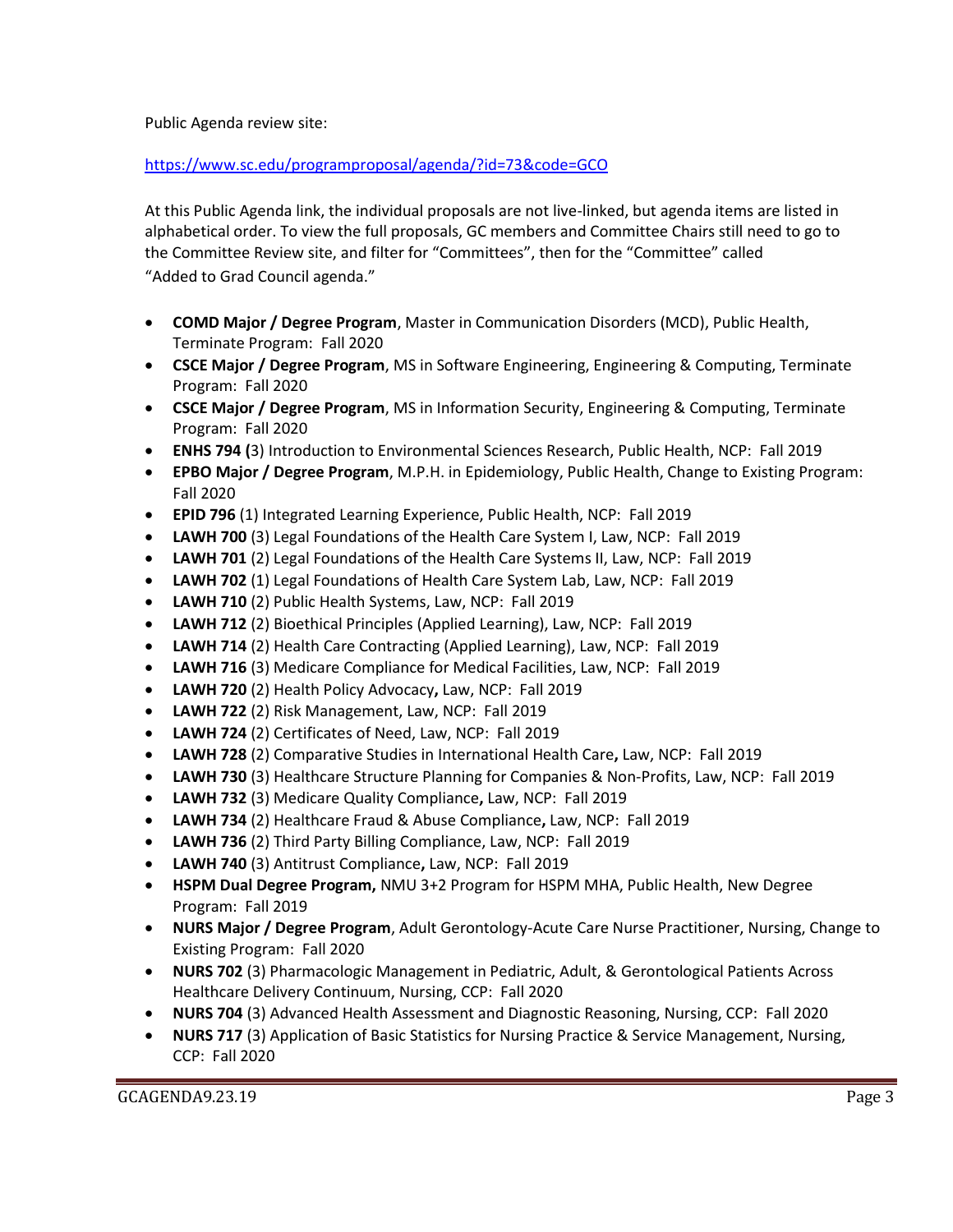Public Agenda review site:

<https://www.sc.edu/programproposal/agenda/?id=73&code=GCO>

At this Public Agenda link, the individual proposals are not live-linked, but agenda items are listed in alphabetical order. To view the full proposals, GC members and Committee Chairs still need to go to the Committee Review site, and filter for "Committees", then for the "Committee" called "Added to Grad Council agenda."

- **COMD Major / Degree Program**, Master in Communication Disorders (MCD), Public Health, Terminate Program: Fall 2020
- **CSCE Major / Degree Program**, MS in Software Engineering, Engineering & Computing, Terminate Program: Fall 2020
- **CSCE Major / Degree Program**, MS in Information Security, Engineering & Computing, Terminate Program: Fall 2020
- **ENHS 794 (**3) Introduction to Environmental Sciences Research, Public Health, NCP: Fall 2019
- **EPBO Major / Degree Program**, M.P.H. in Epidemiology, Public Health, Change to Existing Program: Fall 2020
- **EPID 796** (1) Integrated Learning Experience, Public Health, NCP: Fall 2019
- **LAWH 700** (3) Legal Foundations of the Health Care System I, Law, NCP: Fall 2019
- **LAWH 701** (2) Legal Foundations of the Health Care Systems II, Law, NCP: Fall 2019
- **LAWH 702** (1) Legal Foundations of Health Care System Lab, Law, NCP: Fall 2019
- **LAWH 710** (2) Public Health Systems, Law, NCP: Fall 2019
- **LAWH 712** (2) Bioethical Principles (Applied Learning), Law, NCP: Fall 2019
- **LAWH 714** (2) Health Care Contracting (Applied Learning), Law, NCP: Fall 2019
- **LAWH 716** (3) Medicare Compliance for Medical Facilities, Law, NCP: Fall 2019
- **LAWH 720** (2) Health Policy Advocacy**,** Law, NCP: Fall 2019
- **LAWH 722** (2) Risk Management, Law, NCP: Fall 2019
- **LAWH 724** (2) Certificates of Need, Law, NCP: Fall 2019
- **LAWH 728** (2) Comparative Studies in International Health Care**,** Law, NCP: Fall 2019
- **LAWH 730** (3) Healthcare Structure Planning for Companies & Non-Profits, Law, NCP: Fall 2019
- **LAWH 732** (3) Medicare Quality Compliance**,** Law, NCP: Fall 2019
- **LAWH 734** (2) Healthcare Fraud & Abuse Compliance**,** Law, NCP: Fall 2019
- **LAWH 736** (2) Third Party Billing Compliance, Law, NCP: Fall 2019
- **LAWH 740** (3) Antitrust Compliance**,** Law, NCP: Fall 2019
- **HSPM Dual Degree Program,** NMU 3+2 Program for HSPM MHA, Public Health, New Degree Program: Fall 2019
- **NURS Major / Degree Program**, Adult Gerontology-Acute Care Nurse Practitioner, Nursing, Change to Existing Program: Fall 2020
- **NURS 702** (3) Pharmacologic Management in Pediatric, Adult, & Gerontological Patients Across Healthcare Delivery Continuum, Nursing, CCP: Fall 2020
- **NURS 704** (3) Advanced Health Assessment and Diagnostic Reasoning, Nursing, CCP: Fall 2020
- **NURS 717** (3) Application of Basic Statistics for Nursing Practice & Service Management, Nursing, CCP: Fall 2020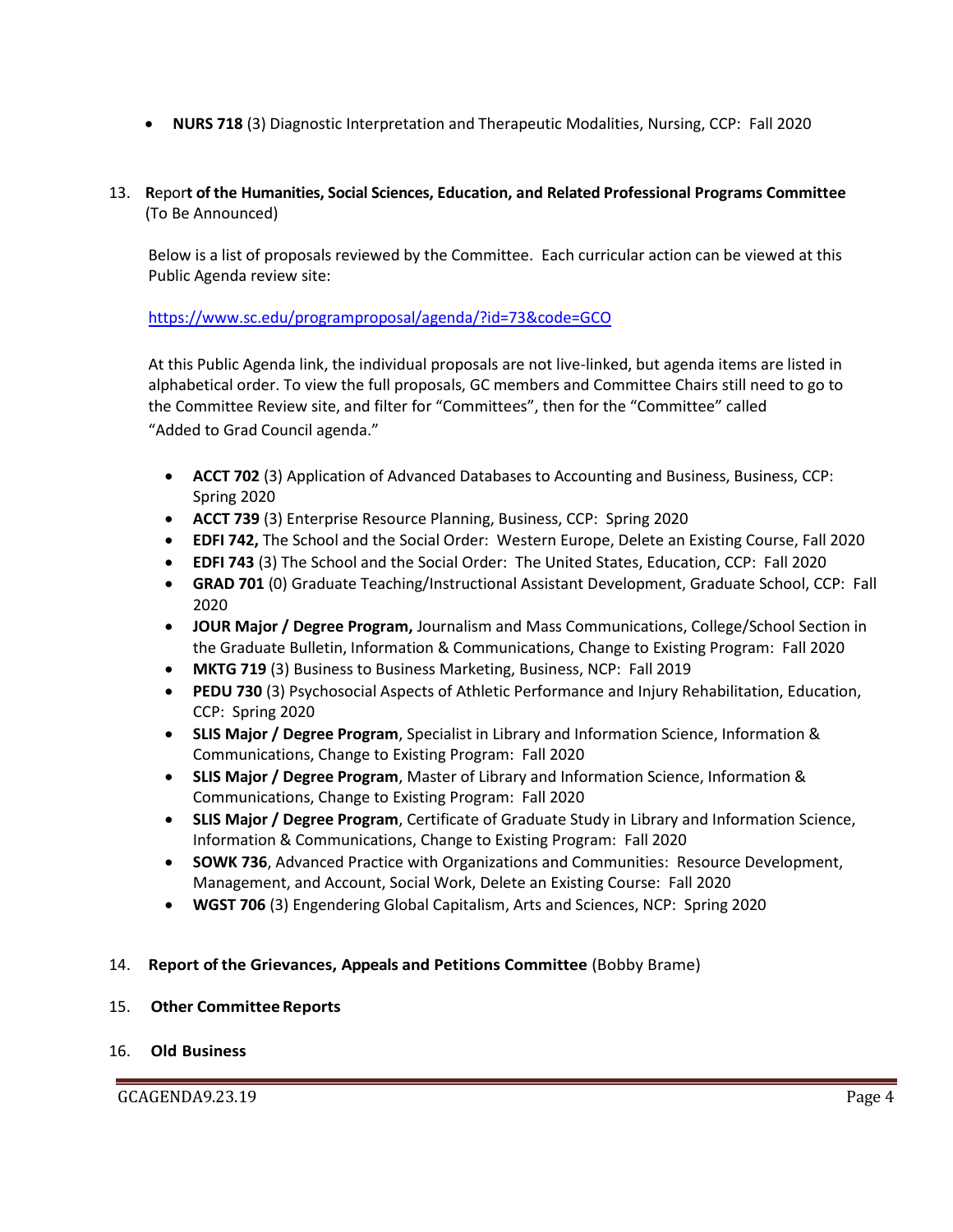- **NURS 718** (3) Diagnostic Interpretation and Therapeutic Modalities, Nursing, CCP: Fall 2020
- 13. **R**epor**t of the Humanities, Social Sciences, Education, and Related Professional Programs Committee**  (To Be Announced)

Below is a list of proposals reviewed by the Committee. Each curricular action can be viewed at this Public Agenda review site:

# <https://www.sc.edu/programproposal/agenda/?id=73&code=GCO>

At this Public Agenda link, the individual proposals are not live-linked, but agenda items are listed in alphabetical order. To view the full proposals, GC members and Committee Chairs still need to go to the Committee Review site, and filter for "Committees", then for the "Committee" called "Added to Grad Council agenda."

- **ACCT 702** (3) Application of Advanced Databases to Accounting and Business, Business, CCP: Spring 2020
- **ACCT 739** (3) Enterprise Resource Planning, Business, CCP: Spring 2020
- **EDFI 742,** The School and the Social Order: Western Europe, Delete an Existing Course, Fall 2020
- **EDFI 743** (3) The School and the Social Order: The United States, Education, CCP: Fall 2020
- **GRAD 701** (0) Graduate Teaching/Instructional Assistant Development, Graduate School, CCP: Fall 2020
- **JOUR Major / Degree Program,** Journalism and Mass Communications, College/School Section in the Graduate Bulletin, Information & Communications, Change to Existing Program: Fall 2020
- **MKTG 719** (3) Business to Business Marketing, Business, NCP: Fall 2019
- **PEDU 730** (3) Psychosocial Aspects of Athletic Performance and Injury Rehabilitation, Education, CCP: Spring 2020
- **SLIS Major / Degree Program**, Specialist in Library and Information Science, Information & Communications, Change to Existing Program: Fall 2020
- **SLIS Major / Degree Program**, Master of Library and Information Science, Information & Communications, Change to Existing Program: Fall 2020
- **SLIS Major / Degree Program**, Certificate of Graduate Study in Library and Information Science, Information & Communications, Change to Existing Program: Fall 2020
- **SOWK 736**, Advanced Practice with Organizations and Communities: Resource Development, Management, and Account, Social Work, Delete an Existing Course: Fall 2020
- **WGST 706** (3) Engendering Global Capitalism, Arts and Sciences, NCP: Spring 2020

## 14. **Report of the Grievances, Appeals and Petitions Committee** (Bobby Brame)

#### 15. **Other Committee Reports**

#### 16. **Old Business**